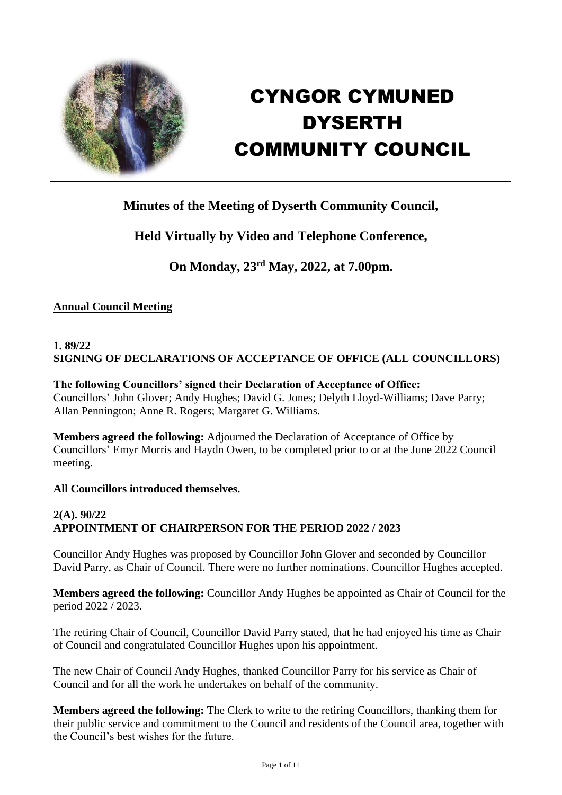

# CYNGOR CYMUNED DYSERTH COMMUNITY COUNCIL

# **Minutes of the Meeting of Dyserth Community Council,**

# **Held Virtually by Video and Telephone Conference,**

# **On Monday, 23rd May, 2022, at 7.00pm.**

## **Annual Council Meeting**

## **1. 89/22 SIGNING OF DECLARATIONS OF ACCEPTANCE OF OFFICE (ALL COUNCILLORS)**

#### **The following Councillors' signed their Declaration of Acceptance of Office:**

Councillors' John Glover; Andy Hughes; David G. Jones; Delyth Lloyd-Williams; Dave Parry; Allan Pennington; Anne R. Rogers; Margaret G. Williams.

**Members agreed the following:** Adjourned the Declaration of Acceptance of Office by Councillors' Emyr Morris and Haydn Owen, to be completed prior to or at the June 2022 Council meeting.

#### **All Councillors introduced themselves.**

## **2(A). 90/22 APPOINTMENT OF CHAIRPERSON FOR THE PERIOD 2022 / 2023**

Councillor Andy Hughes was proposed by Councillor John Glover and seconded by Councillor David Parry, as Chair of Council. There were no further nominations. Councillor Hughes accepted.

**Members agreed the following:** Councillor Andy Hughes be appointed as Chair of Council for the period 2022 / 2023.

The retiring Chair of Council, Councillor David Parry stated, that he had enjoyed his time as Chair of Council and congratulated Councillor Hughes upon his appointment.

The new Chair of Council Andy Hughes, thanked Councillor Parry for his service as Chair of Council and for all the work he undertakes on behalf of the community.

**Members agreed the following:** The Clerk to write to the retiring Councillors, thanking them for their public service and commitment to the Council and residents of the Council area, together with the Council's best wishes for the future.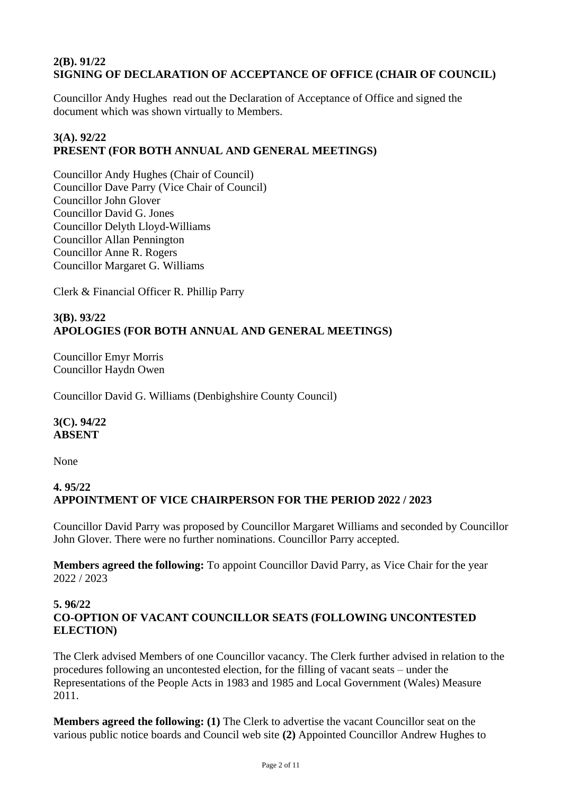## **2(B). 91/22 SIGNING OF DECLARATION OF ACCEPTANCE OF OFFICE (CHAIR OF COUNCIL)**

Councillor Andy Hughes read out the Declaration of Acceptance of Office and signed the document which was shown virtually to Members.

## **3(A). 92/22 PRESENT (FOR BOTH ANNUAL AND GENERAL MEETINGS)**

Councillor Andy Hughes (Chair of Council) Councillor Dave Parry (Vice Chair of Council) Councillor John Glover Councillor David G. Jones Councillor Delyth Lloyd-Williams Councillor Allan Pennington Councillor Anne R. Rogers Councillor Margaret G. Williams

Clerk & Financial Officer R. Phillip Parry

## **3(B). 93/22 APOLOGIES (FOR BOTH ANNUAL AND GENERAL MEETINGS)**

Councillor Emyr Morris Councillor Haydn Owen

Councillor David G. Williams (Denbighshire County Council)

#### **3(C). 94/22 ABSENT**

None

## **4. 95/22 APPOINTMENT OF VICE CHAIRPERSON FOR THE PERIOD 2022 / 2023**

Councillor David Parry was proposed by Councillor Margaret Williams and seconded by Councillor John Glover. There were no further nominations. Councillor Parry accepted.

**Members agreed the following:** To appoint Councillor David Parry, as Vice Chair for the year 2022 / 2023

## **5. 96/22 CO-OPTION OF VACANT COUNCILLOR SEATS (FOLLOWING UNCONTESTED ELECTION)**

The Clerk advised Members of one Councillor vacancy. The Clerk further advised in relation to the procedures following an uncontested election, for the filling of vacant seats – under the Representations of the People Acts in 1983 and 1985 and Local Government (Wales) Measure 2011.

**Members agreed the following: (1)** The Clerk to advertise the vacant Councillor seat on the various public notice boards and Council web site **(2)** Appointed Councillor Andrew Hughes to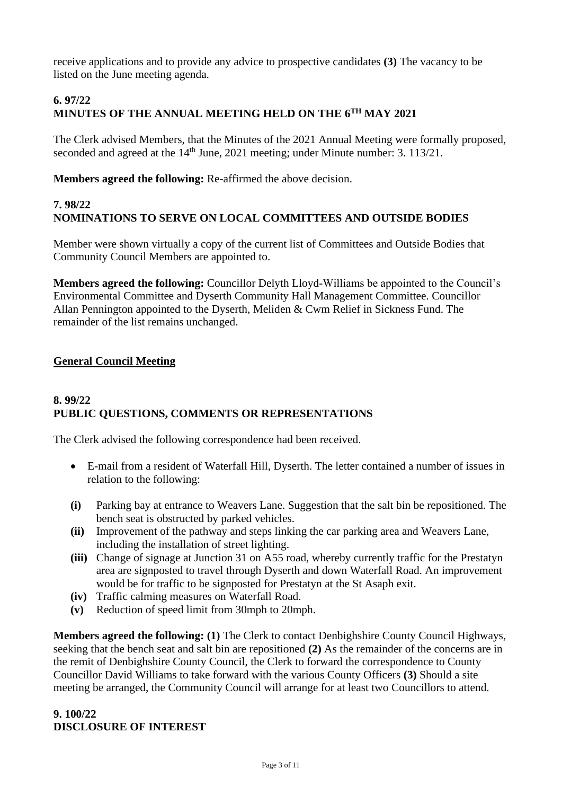receive applications and to provide any advice to prospective candidates **(3)** The vacancy to be listed on the June meeting agenda.

## **6. 97/22 MINUTES OF THE ANNUAL MEETING HELD ON THE 6TH MAY 2021**

The Clerk advised Members, that the Minutes of the 2021 Annual Meeting were formally proposed, seconded and agreed at the 14<sup>th</sup> June, 2021 meeting; under Minute number: 3. 113/21.

**Members agreed the following:** Re-affirmed the above decision.

## **7. 98/22 NOMINATIONS TO SERVE ON LOCAL COMMITTEES AND OUTSIDE BODIES**

Member were shown virtually a copy of the current list of Committees and Outside Bodies that Community Council Members are appointed to.

**Members agreed the following:** Councillor Delyth Lloyd-Williams be appointed to the Council's Environmental Committee and Dyserth Community Hall Management Committee. Councillor Allan Pennington appointed to the Dyserth, Meliden & Cwm Relief in Sickness Fund. The remainder of the list remains unchanged.

## **General Council Meeting**

#### **8. 99/22 PUBLIC QUESTIONS, COMMENTS OR REPRESENTATIONS**

The Clerk advised the following correspondence had been received.

- E-mail from a resident of Waterfall Hill, Dyserth. The letter contained a number of issues in relation to the following:
- **(i)** Parking bay at entrance to Weavers Lane. Suggestion that the salt bin be repositioned. The bench seat is obstructed by parked vehicles.
- **(ii)** Improvement of the pathway and steps linking the car parking area and Weavers Lane, including the installation of street lighting.
- **(iii)** Change of signage at Junction 31 on A55 road, whereby currently traffic for the Prestatyn area are signposted to travel through Dyserth and down Waterfall Road. An improvement would be for traffic to be signposted for Prestatyn at the St Asaph exit.
- **(iv)** Traffic calming measures on Waterfall Road.
- **(v)** Reduction of speed limit from 30mph to 20mph.

**Members agreed the following: (1)** The Clerk to contact Denbighshire County Council Highways, seeking that the bench seat and salt bin are repositioned **(2)** As the remainder of the concerns are in the remit of Denbighshire County Council, the Clerk to forward the correspondence to County Councillor David Williams to take forward with the various County Officers **(3)** Should a site meeting be arranged, the Community Council will arrange for at least two Councillors to attend.

#### **9. 100/22 DISCLOSURE OF INTEREST**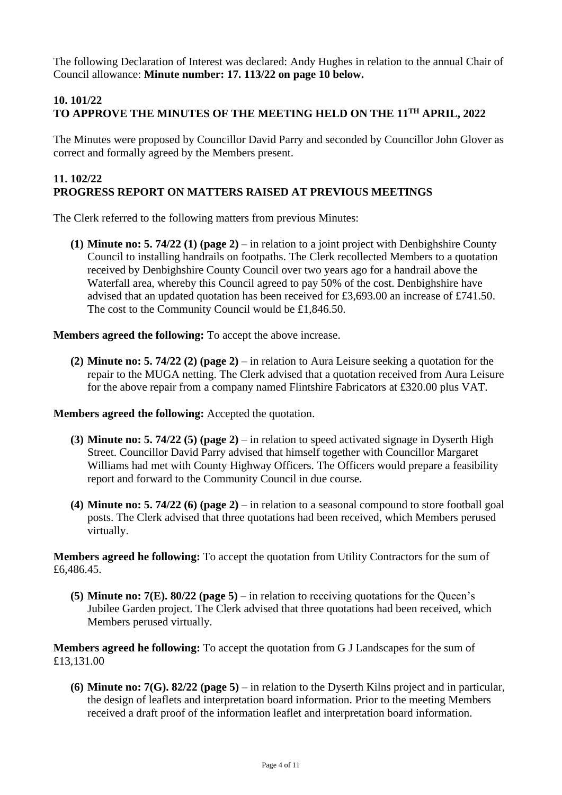The following Declaration of Interest was declared: Andy Hughes in relation to the annual Chair of Council allowance: **Minute number: 17. 113/22 on page 10 below.** 

## **10. 101/22 TO APPROVE THE MINUTES OF THE MEETING HELD ON THE 11TH APRIL, 2022**

The Minutes were proposed by Councillor David Parry and seconded by Councillor John Glover as correct and formally agreed by the Members present.

#### **11. 102/22 PROGRESS REPORT ON MATTERS RAISED AT PREVIOUS MEETINGS**

The Clerk referred to the following matters from previous Minutes:

**(1) Minute no: 5. 74/22 (1) (page 2)** – in relation to a joint project with Denbighshire County Council to installing handrails on footpaths. The Clerk recollected Members to a quotation received by Denbighshire County Council over two years ago for a handrail above the Waterfall area, whereby this Council agreed to pay 50% of the cost. Denbighshire have advised that an updated quotation has been received for £3,693.00 an increase of £741.50. The cost to the Community Council would be £1,846.50.

**Members agreed the following:** To accept the above increase.

**(2) Minute no: 5. 74/22 (2) (page 2)** – in relation to Aura Leisure seeking a quotation for the repair to the MUGA netting. The Clerk advised that a quotation received from Aura Leisure for the above repair from a company named Flintshire Fabricators at £320.00 plus VAT.

**Members agreed the following:** Accepted the quotation.

- **(3) Minute no: 5. 74/22 (5) (page 2)** in relation to speed activated signage in Dyserth High Street. Councillor David Parry advised that himself together with Councillor Margaret Williams had met with County Highway Officers. The Officers would prepare a feasibility report and forward to the Community Council in due course.
- **(4) Minute no: 5. 74/22 (6) (page 2)** in relation to a seasonal compound to store football goal posts. The Clerk advised that three quotations had been received, which Members perused virtually.

**Members agreed he following:** To accept the quotation from Utility Contractors for the sum of £6,486.45.

**(5) Minute no: 7(E). 80/22 (page 5)** – in relation to receiving quotations for the Queen's Jubilee Garden project. The Clerk advised that three quotations had been received, which Members perused virtually.

**Members agreed he following:** To accept the quotation from G J Landscapes for the sum of £13,131.00

**(6) Minute no: 7(G). 82/22 (page 5)** – in relation to the Dyserth Kilns project and in particular, the design of leaflets and interpretation board information. Prior to the meeting Members received a draft proof of the information leaflet and interpretation board information.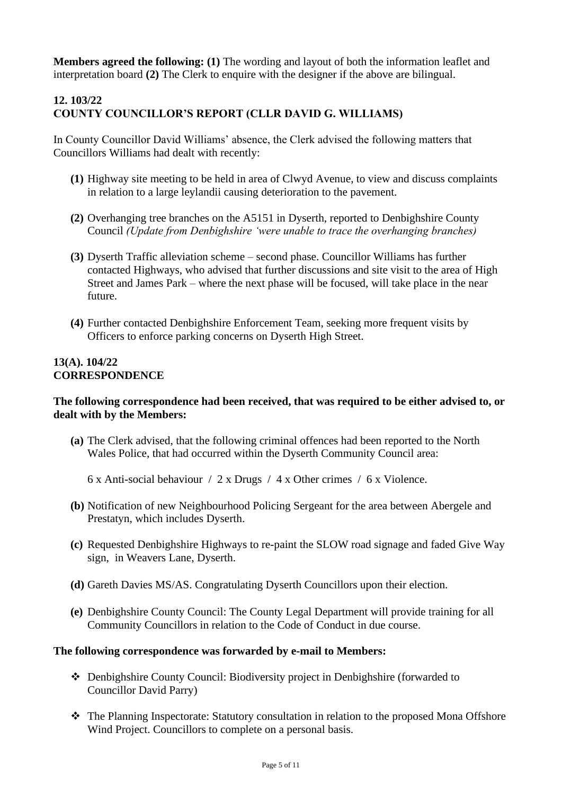**Members agreed the following: (1)** The wording and layout of both the information leaflet and interpretation board **(2)** The Clerk to enquire with the designer if the above are bilingual.

## **12. 103/22 COUNTY COUNCILLOR'S REPORT (CLLR DAVID G. WILLIAMS)**

In County Councillor David Williams' absence, the Clerk advised the following matters that Councillors Williams had dealt with recently:

- **(1)** Highway site meeting to be held in area of Clwyd Avenue, to view and discuss complaints in relation to a large leylandii causing deterioration to the pavement.
- **(2)** Overhanging tree branches on the A5151 in Dyserth, reported to Denbighshire County Council *(Update from Denbighshire 'were unable to trace the overhanging branches)*
- **(3)** Dyserth Traffic alleviation scheme second phase. Councillor Williams has further contacted Highways, who advised that further discussions and site visit to the area of High Street and James Park – where the next phase will be focused, will take place in the near future.
- **(4)** Further contacted Denbighshire Enforcement Team, seeking more frequent visits by Officers to enforce parking concerns on Dyserth High Street.

#### **13(A). 104/22 CORRESPONDENCE**

#### **The following correspondence had been received, that was required to be either advised to, or dealt with by the Members:**

- **(a)** The Clerk advised, that the following criminal offences had been reported to the North Wales Police, that had occurred within the Dyserth Community Council area:
	- 6 x Anti-social behaviour / 2 x Drugs / 4 x Other crimes / 6 x Violence.
- **(b)** Notification of new Neighbourhood Policing Sergeant for the area between Abergele and Prestatyn, which includes Dyserth.
- **(c)** Requested Denbighshire Highways to re-paint the SLOW road signage and faded Give Way sign, in Weavers Lane, Dyserth.
- **(d)** Gareth Davies MS/AS. Congratulating Dyserth Councillors upon their election.
- **(e)** Denbighshire County Council: The County Legal Department will provide training for all Community Councillors in relation to the Code of Conduct in due course.

#### **The following correspondence was forwarded by e-mail to Members:**

- ❖ Denbighshire County Council: Biodiversity project in Denbighshire (forwarded to Councillor David Parry)
- ❖ The Planning Inspectorate: Statutory consultation in relation to the proposed Mona Offshore Wind Project. Councillors to complete on a personal basis.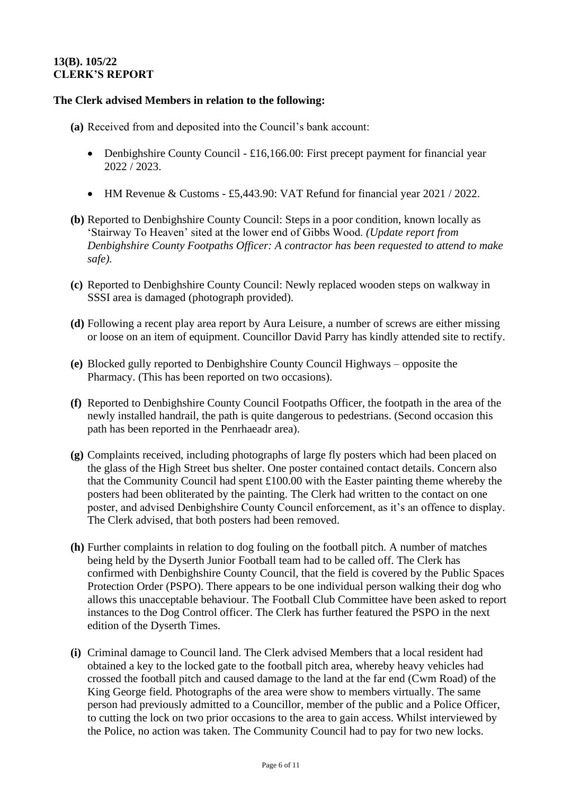## **13(B). 105/22 CLERK'S REPORT**

#### **The Clerk advised Members in relation to the following:**

- **(a)** Received from and deposited into the Council's bank account:
	- Denbighshire County Council £16,166.00: First precept payment for financial year 2022 / 2023.
	- HM Revenue & Customs £5,443.90: VAT Refund for financial year 2021 / 2022.
- **(b)** Reported to Denbighshire County Council: Steps in a poor condition, known locally as 'Stairway To Heaven' sited at the lower end of Gibbs Wood. *(Update report from Denbighshire County Footpaths Officer: A contractor has been requested to attend to make safe).*
- **(c)** Reported to Denbighshire County Council: Newly replaced wooden steps on walkway in SSSI area is damaged (photograph provided).
- **(d)** Following a recent play area report by Aura Leisure, a number of screws are either missing or loose on an item of equipment. Councillor David Parry has kindly attended site to rectify.
- **(e)** Blocked gully reported to Denbighshire County Council Highways opposite the Pharmacy. (This has been reported on two occasions).
- **(f)** Reported to Denbighshire County Council Footpaths Officer, the footpath in the area of the newly installed handrail, the path is quite dangerous to pedestrians. (Second occasion this path has been reported in the Penrhaeadr area).
- **(g)** Complaints received, including photographs of large fly posters which had been placed on the glass of the High Street bus shelter. One poster contained contact details. Concern also that the Community Council had spent £100.00 with the Easter painting theme whereby the posters had been obliterated by the painting. The Clerk had written to the contact on one poster, and advised Denbighshire County Council enforcement, as it's an offence to display. The Clerk advised, that both posters had been removed.
- **(h)** Further complaints in relation to dog fouling on the football pitch. A number of matches being held by the Dyserth Junior Football team had to be called off. The Clerk has confirmed with Denbighshire County Council, that the field is covered by the Public Spaces Protection Order (PSPO). There appears to be one individual person walking their dog who allows this unacceptable behaviour. The Football Club Committee have been asked to report instances to the Dog Control officer. The Clerk has further featured the PSPO in the next edition of the Dyserth Times.
- **(i)** Criminal damage to Council land. The Clerk advised Members that a local resident had obtained a key to the locked gate to the football pitch area, whereby heavy vehicles had crossed the football pitch and caused damage to the land at the far end (Cwm Road) of the King George field. Photographs of the area were show to members virtually. The same person had previously admitted to a Councillor, member of the public and a Police Officer, to cutting the lock on two prior occasions to the area to gain access. Whilst interviewed by the Police, no action was taken. The Community Council had to pay for two new locks.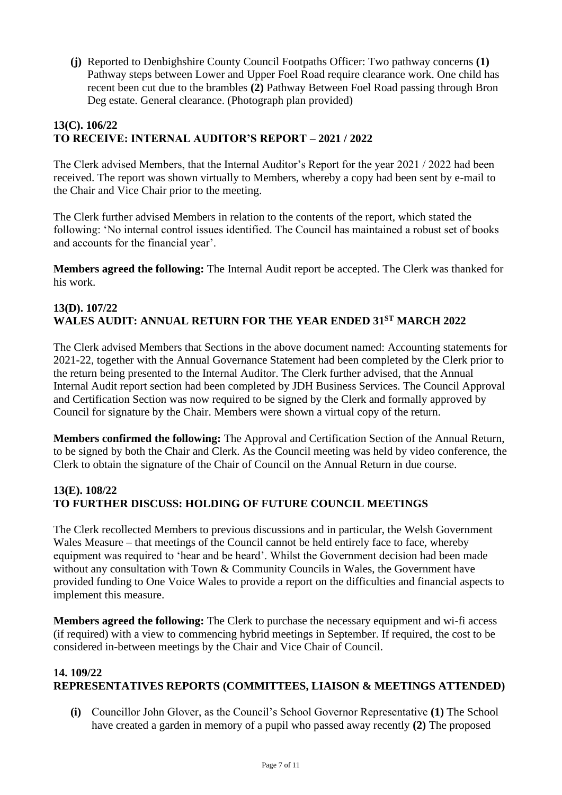**(j)** Reported to Denbighshire County Council Footpaths Officer: Two pathway concerns **(1)** Pathway steps between Lower and Upper Foel Road require clearance work. One child has recent been cut due to the brambles **(2)** Pathway Between Foel Road passing through Bron Deg estate. General clearance. (Photograph plan provided)

## **13(C). 106/22 TO RECEIVE: INTERNAL AUDITOR'S REPORT – 2021 / 2022**

The Clerk advised Members, that the Internal Auditor's Report for the year 2021 / 2022 had been received. The report was shown virtually to Members, whereby a copy had been sent by e-mail to the Chair and Vice Chair prior to the meeting.

The Clerk further advised Members in relation to the contents of the report, which stated the following: 'No internal control issues identified. The Council has maintained a robust set of books and accounts for the financial year'.

**Members agreed the following:** The Internal Audit report be accepted. The Clerk was thanked for his work.

## **13(D). 107/22 WALES AUDIT: ANNUAL RETURN FOR THE YEAR ENDED 31ST MARCH 2022**

The Clerk advised Members that Sections in the above document named: Accounting statements for 2021-22, together with the Annual Governance Statement had been completed by the Clerk prior to the return being presented to the Internal Auditor. The Clerk further advised, that the Annual Internal Audit report section had been completed by JDH Business Services. The Council Approval and Certification Section was now required to be signed by the Clerk and formally approved by Council for signature by the Chair. Members were shown a virtual copy of the return.

**Members confirmed the following:** The Approval and Certification Section of the Annual Return, to be signed by both the Chair and Clerk. As the Council meeting was held by video conference, the Clerk to obtain the signature of the Chair of Council on the Annual Return in due course.

#### **13(E). 108/22 TO FURTHER DISCUSS: HOLDING OF FUTURE COUNCIL MEETINGS**

The Clerk recollected Members to previous discussions and in particular, the Welsh Government Wales Measure – that meetings of the Council cannot be held entirely face to face, whereby equipment was required to 'hear and be heard'. Whilst the Government decision had been made without any consultation with Town & Community Councils in Wales, the Government have provided funding to One Voice Wales to provide a report on the difficulties and financial aspects to implement this measure.

**Members agreed the following:** The Clerk to purchase the necessary equipment and wi-fi access (if required) with a view to commencing hybrid meetings in September. If required, the cost to be considered in-between meetings by the Chair and Vice Chair of Council.

## **14. 109/22 REPRESENTATIVES REPORTS (COMMITTEES, LIAISON & MEETINGS ATTENDED)**

**(i)** Councillor John Glover, as the Council's School Governor Representative **(1)** The School have created a garden in memory of a pupil who passed away recently **(2)** The proposed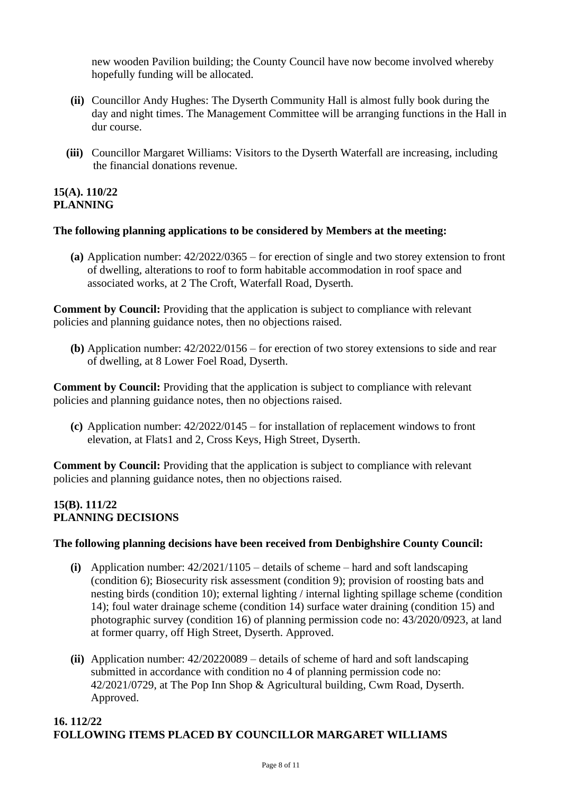new wooden Pavilion building; the County Council have now become involved whereby hopefully funding will be allocated.

- **(ii)** Councillor Andy Hughes: The Dyserth Community Hall is almost fully book during the day and night times. The Management Committee will be arranging functions in the Hall in dur course.
- **(iii)** Councillor Margaret Williams: Visitors to the Dyserth Waterfall are increasing, including the financial donations revenue.

#### **15(A). 110/22 PLANNING**

#### **The following planning applications to be considered by Members at the meeting:**

**(a)** Application number: 42/2022/0365 – for erection of single and two storey extension to front of dwelling, alterations to roof to form habitable accommodation in roof space and associated works, at 2 The Croft, Waterfall Road, Dyserth.

**Comment by Council:** Providing that the application is subject to compliance with relevant policies and planning guidance notes, then no objections raised.

**(b)** Application number: 42/2022/0156 – for erection of two storey extensions to side and rear of dwelling, at 8 Lower Foel Road, Dyserth.

**Comment by Council:** Providing that the application is subject to compliance with relevant policies and planning guidance notes, then no objections raised.

**(c)** Application number: 42/2022/0145 – for installation of replacement windows to front elevation, at Flats1 and 2, Cross Keys, High Street, Dyserth.

**Comment by Council:** Providing that the application is subject to compliance with relevant policies and planning guidance notes, then no objections raised.

#### **15(B). 111/22 PLANNING DECISIONS**

#### **The following planning decisions have been received from Denbighshire County Council:**

- **(i)** Application number: 42/2021/1105 details of scheme hard and soft landscaping (condition 6); Biosecurity risk assessment (condition 9); provision of roosting bats and nesting birds (condition 10); external lighting / internal lighting spillage scheme (condition 14); foul water drainage scheme (condition 14) surface water draining (condition 15) and photographic survey (condition 16) of planning permission code no: 43/2020/0923, at land at former quarry, off High Street, Dyserth. Approved.
- **(ii)** Application number: 42/20220089 details of scheme of hard and soft landscaping submitted in accordance with condition no 4 of planning permission code no: 42/2021/0729, at The Pop Inn Shop & Agricultural building, Cwm Road, Dyserth. Approved.

#### **16. 112/22 FOLLOWING ITEMS PLACED BY COUNCILLOR MARGARET WILLIAMS**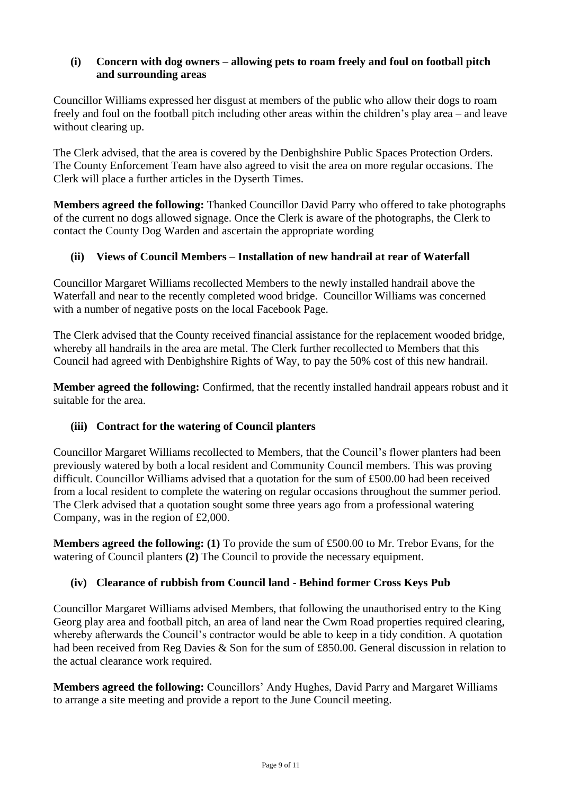## **(i) Concern with dog owners – allowing pets to roam freely and foul on football pitch and surrounding areas**

Councillor Williams expressed her disgust at members of the public who allow their dogs to roam freely and foul on the football pitch including other areas within the children's play area – and leave without clearing up.

The Clerk advised, that the area is covered by the Denbighshire Public Spaces Protection Orders. The County Enforcement Team have also agreed to visit the area on more regular occasions. The Clerk will place a further articles in the Dyserth Times.

**Members agreed the following:** Thanked Councillor David Parry who offered to take photographs of the current no dogs allowed signage. Once the Clerk is aware of the photographs, the Clerk to contact the County Dog Warden and ascertain the appropriate wording

## **(ii) Views of Council Members – Installation of new handrail at rear of Waterfall**

Councillor Margaret Williams recollected Members to the newly installed handrail above the Waterfall and near to the recently completed wood bridge. Councillor Williams was concerned with a number of negative posts on the local Facebook Page.

The Clerk advised that the County received financial assistance for the replacement wooded bridge, whereby all handrails in the area are metal. The Clerk further recollected to Members that this Council had agreed with Denbighshire Rights of Way, to pay the 50% cost of this new handrail.

**Member agreed the following:** Confirmed, that the recently installed handrail appears robust and it suitable for the area.

#### **(iii) Contract for the watering of Council planters**

Councillor Margaret Williams recollected to Members, that the Council's flower planters had been previously watered by both a local resident and Community Council members. This was proving difficult. Councillor Williams advised that a quotation for the sum of £500.00 had been received from a local resident to complete the watering on regular occasions throughout the summer period. The Clerk advised that a quotation sought some three years ago from a professional watering Company, was in the region of £2,000.

**Members agreed the following: (1)** To provide the sum of £500.00 to Mr. Trebor Evans, for the watering of Council planters **(2)** The Council to provide the necessary equipment.

#### **(iv) Clearance of rubbish from Council land - Behind former Cross Keys Pub**

Councillor Margaret Williams advised Members, that following the unauthorised entry to the King Georg play area and football pitch, an area of land near the Cwm Road properties required clearing, whereby afterwards the Council's contractor would be able to keep in a tidy condition. A quotation had been received from Reg Davies & Son for the sum of £850.00. General discussion in relation to the actual clearance work required.

**Members agreed the following:** Councillors' Andy Hughes, David Parry and Margaret Williams to arrange a site meeting and provide a report to the June Council meeting.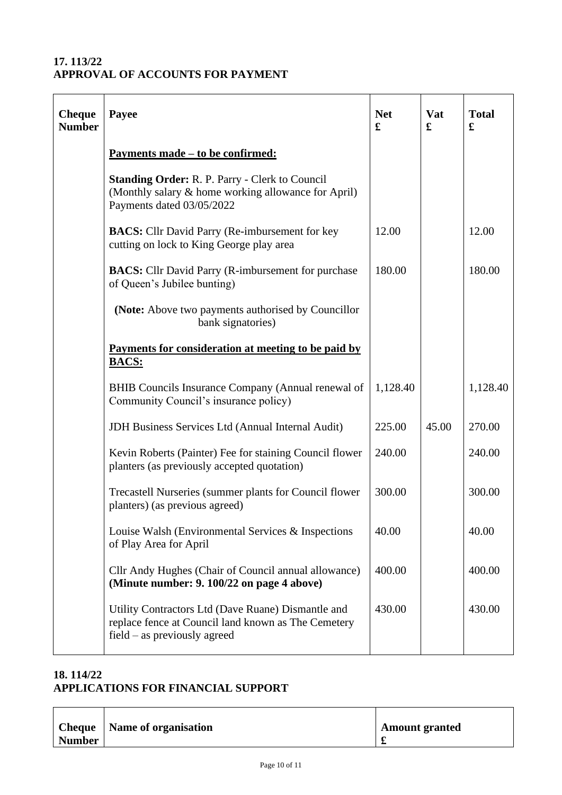## **17. 113/22 APPROVAL OF ACCOUNTS FOR PAYMENT**

| <b>Cheque</b><br><b>Number</b> | Payee                                                                                                                                     | <b>Net</b><br>£ | <b>Vat</b><br>£ | <b>Total</b><br>£ |
|--------------------------------|-------------------------------------------------------------------------------------------------------------------------------------------|-----------------|-----------------|-------------------|
|                                | <u>Payments made – to be confirmed:</u>                                                                                                   |                 |                 |                   |
|                                | <b>Standing Order: R. P. Parry - Clerk to Council</b><br>(Monthly salary & home working allowance for April)<br>Payments dated 03/05/2022 |                 |                 |                   |
|                                | <b>BACS:</b> Cllr David Parry (Re-imbursement for key<br>cutting on lock to King George play area                                         | 12.00           |                 | 12.00             |
|                                | <b>BACS:</b> Cllr David Parry (R-imbursement for purchase<br>of Queen's Jubilee bunting)                                                  | 180.00          |                 | 180.00            |
|                                | (Note: Above two payments authorised by Councillor<br>bank signatories)                                                                   |                 |                 |                   |
|                                | Payments for consideration at meeting to be paid by<br><b>BACS:</b>                                                                       |                 |                 |                   |
|                                | BHIB Councils Insurance Company (Annual renewal of<br>Community Council's insurance policy)                                               | 1,128.40        |                 | 1,128.40          |
|                                | JDH Business Services Ltd (Annual Internal Audit)                                                                                         | 225.00          | 45.00           | 270.00            |
|                                | Kevin Roberts (Painter) Fee for staining Council flower<br>planters (as previously accepted quotation)                                    | 240.00          |                 | 240.00            |
|                                | Trecastell Nurseries (summer plants for Council flower<br>planters) (as previous agreed)                                                  | 300.00          |                 | 300.00            |
|                                | Louise Walsh (Environmental Services & Inspections)<br>of Play Area for April                                                             | 40.00           |                 | 40.00             |
|                                | Cllr Andy Hughes (Chair of Council annual allowance)<br>(Minute number: 9. 100/22 on page 4 above)                                        | 400.00          |                 | 400.00            |
|                                | Utility Contractors Ltd (Dave Ruane) Dismantle and<br>replace fence at Council land known as The Cemetery<br>field - as previously agreed | 430.00          |                 | 430.00            |

## **18. 114/22 APPLICATIONS FOR FINANCIAL SUPPORT**

|               | <b>Cheque</b>   Name of organisation | <b>Amount granted</b> |
|---------------|--------------------------------------|-----------------------|
| <b>Number</b> |                                      | d.                    |